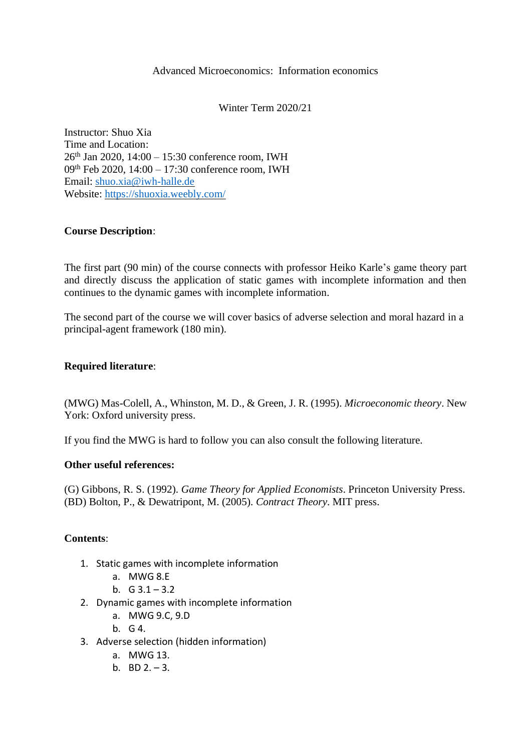## Advanced Microeconomics: Information economics

Winter Term 2020/21

Instructor: Shuo Xia Time and Location:  $26<sup>th</sup>$  Jan 2020, 14:00 – 15:30 conference room, IWH 09th Feb 2020, 14:00 – 17:30 conference room, IWH Email: [shuo.xia@iwh-halle.de](mailto:shuo.xia@iwh-halle.de) Website:<https://shuoxia.weebly.com/>

## **Course Description**:

The first part (90 min) of the course connects with professor Heiko Karle's game theory part and directly discuss the application of static games with incomplete information and then continues to the dynamic games with incomplete information.

The second part of the course we will cover basics of adverse selection and moral hazard in a principal-agent framework (180 min).

#### **Required literature**:

(MWG) Mas-Colell, A., Whinston, M. D., & Green, J. R. (1995). *Microeconomic theory*. New York: Oxford university press.

If you find the MWG is hard to follow you can also consult the following literature.

#### **Other useful references:**

(G) Gibbons, R. S. (1992). *Game Theory for Applied Economists*. Princeton University Press. (BD) Bolton, P., & Dewatripont, M. (2005). *Contract Theory*. MIT press.

# **Contents**:

- 1. Static games with incomplete information
	- a. MWG 8.E
	- b.  $G$  3.1 3.2
- 2. Dynamic games with incomplete information
	- a. MWG 9.C, 9.D
	- b. G 4.
- 3. Adverse selection (hidden information)
	- a. MWG 13.
	- b. BD  $2. 3$ .